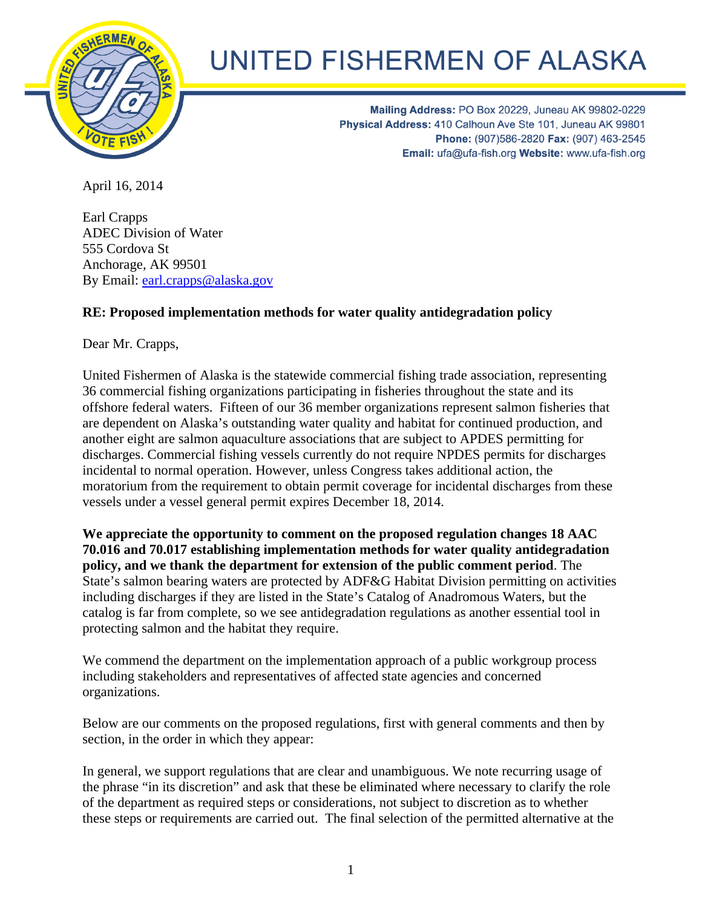

# **UNITED FISHERMEN OF ALASKA**

Mailing Address: PO Box 20229, Juneau AK 99802-0229 Physical Address: 410 Calhoun Ave Ste 101, Juneau AK 99801 Phone: (907)586-2820 Fax: (907) 463-2545 Email: ufa@ufa-fish.org Website: www.ufa-fish.org

April 16, 2014

Earl Crapps ADEC Division of Water 555 Cordova St Anchorage, AK 99501 By Email: earl.crapps@alaska.gov

## **RE: Proposed implementation methods for water quality antidegradation policy**

Dear Mr. Crapps,

United Fishermen of Alaska is the statewide commercial fishing trade association, representing 36 commercial fishing organizations participating in fisheries throughout the state and its offshore federal waters. Fifteen of our 36 member organizations represent salmon fisheries that are dependent on Alaska's outstanding water quality and habitat for continued production, and another eight are salmon aquaculture associations that are subject to APDES permitting for discharges. Commercial fishing vessels currently do not require NPDES permits for discharges incidental to normal operation. However, unless Congress takes additional action, the moratorium from the requirement to obtain permit coverage for incidental discharges from these vessels under a vessel general permit expires December 18, 2014.

**We appreciate the opportunity to comment on the proposed regulation changes 18 AAC 70.016 and 70.017 establishing implementation methods for water quality antidegradation policy, and we thank the department for extension of the public comment period**. The State's salmon bearing waters are protected by ADF&G Habitat Division permitting on activities including discharges if they are listed in the State's Catalog of Anadromous Waters, but the catalog is far from complete, so we see antidegradation regulations as another essential tool in protecting salmon and the habitat they require.

We commend the department on the implementation approach of a public workgroup process including stakeholders and representatives of affected state agencies and concerned organizations.

Below are our comments on the proposed regulations, first with general comments and then by section, in the order in which they appear:

In general, we support regulations that are clear and unambiguous. We note recurring usage of the phrase "in its discretion" and ask that these be eliminated where necessary to clarify the role of the department as required steps or considerations, not subject to discretion as to whether these steps or requirements are carried out. The final selection of the permitted alternative at the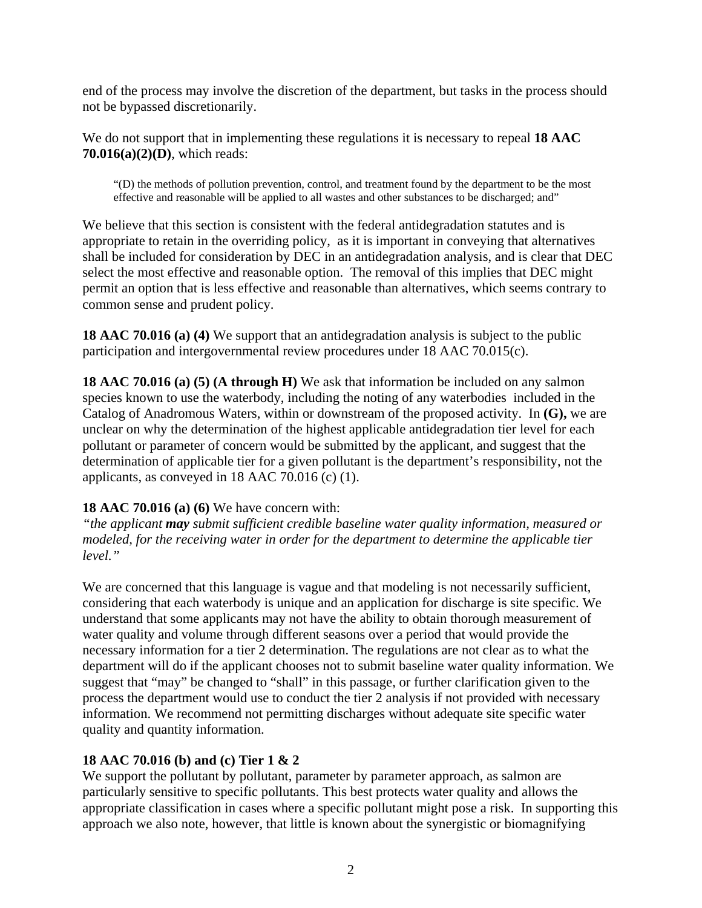end of the process may involve the discretion of the department, but tasks in the process should not be bypassed discretionarily.

We do not support that in implementing these regulations it is necessary to repeal **18 AAC 70.016(a)(2)(D)**, which reads:

"(D) the methods of pollution prevention, control, and treatment found by the department to be the most effective and reasonable will be applied to all wastes and other substances to be discharged; and"

We believe that this section is consistent with the federal antidegradation statutes and is appropriate to retain in the overriding policy, as it is important in conveying that alternatives shall be included for consideration by DEC in an antidegradation analysis, and is clear that DEC select the most effective and reasonable option. The removal of this implies that DEC might permit an option that is less effective and reasonable than alternatives, which seems contrary to common sense and prudent policy.

**18 AAC 70.016 (a) (4)** We support that an antidegradation analysis is subject to the public participation and intergovernmental review procedures under 18 AAC 70.015(c).

**18 AAC 70.016 (a) (5) (A through H)** We ask that information be included on any salmon species known to use the waterbody, including the noting of any waterbodies included in the Catalog of Anadromous Waters, within or downstream of the proposed activity. In **(G),** we are unclear on why the determination of the highest applicable antidegradation tier level for each pollutant or parameter of concern would be submitted by the applicant, and suggest that the determination of applicable tier for a given pollutant is the department's responsibility, not the applicants, as conveyed in 18 AAC 70.016 (c) (1).

## **18 AAC 70.016 (a) (6)** We have concern with:

*"the applicant may submit sufficient credible baseline water quality information, measured or modeled, for the receiving water in order for the department to determine the applicable tier level."*

We are concerned that this language is vague and that modeling is not necessarily sufficient, considering that each waterbody is unique and an application for discharge is site specific. We understand that some applicants may not have the ability to obtain thorough measurement of water quality and volume through different seasons over a period that would provide the necessary information for a tier 2 determination. The regulations are not clear as to what the department will do if the applicant chooses not to submit baseline water quality information. We suggest that "may" be changed to "shall" in this passage, or further clarification given to the process the department would use to conduct the tier 2 analysis if not provided with necessary information. We recommend not permitting discharges without adequate site specific water quality and quantity information.

## **18 AAC 70.016 (b) and (c) Tier 1 & 2**

We support the pollutant by pollutant, parameter by parameter approach, as salmon are particularly sensitive to specific pollutants. This best protects water quality and allows the appropriate classification in cases where a specific pollutant might pose a risk. In supporting this approach we also note, however, that little is known about the synergistic or biomagnifying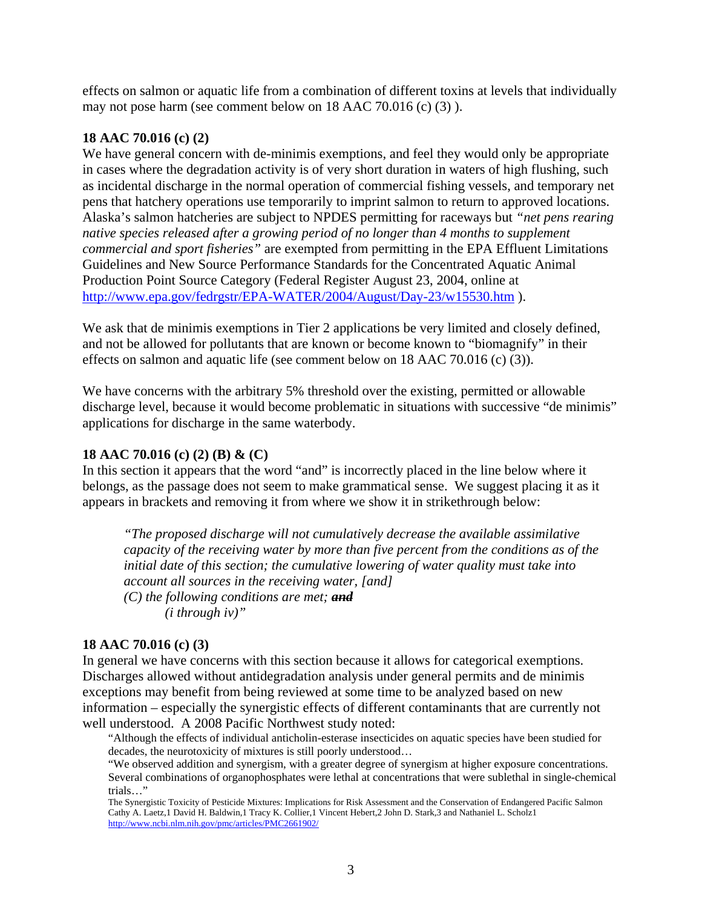effects on salmon or aquatic life from a combination of different toxins at levels that individually may not pose harm (see comment below on 18 AAC 70.016 (c) (3) ).

### **18 AAC 70.016 (c) (2)**

We have general concern with de-minimis exemptions, and feel they would only be appropriate in cases where the degradation activity is of very short duration in waters of high flushing, such as incidental discharge in the normal operation of commercial fishing vessels, and temporary net pens that hatchery operations use temporarily to imprint salmon to return to approved locations. Alaska's salmon hatcheries are subject to NPDES permitting for raceways but *"net pens rearing native species released after a growing period of no longer than 4 months to supplement commercial and sport fisheries"* are exempted from permitting in the EPA Effluent Limitations Guidelines and New Source Performance Standards for the Concentrated Aquatic Animal Production Point Source Category (Federal Register August 23, 2004, online at http://www.epa.gov/fedrgstr/EPA-WATER/2004/August/Day-23/w15530.htm ).

We ask that de minimis exemptions in Tier 2 applications be very limited and closely defined, and not be allowed for pollutants that are known or become known to "biomagnify" in their effects on salmon and aquatic life (see comment below on 18 AAC 70.016 (c) (3)).

We have concerns with the arbitrary 5% threshold over the existing, permitted or allowable discharge level, because it would become problematic in situations with successive "de minimis" applications for discharge in the same waterbody.

#### **18 AAC 70.016 (c) (2) (B) & (C)**

In this section it appears that the word "and" is incorrectly placed in the line below where it belongs, as the passage does not seem to make grammatical sense. We suggest placing it as it appears in brackets and removing it from where we show it in strikethrough below:

*"The proposed discharge will not cumulatively decrease the available assimilative capacity of the receiving water by more than five percent from the conditions as of the initial date of this section; the cumulative lowering of water quality must take into account all sources in the receiving water, [and]* 

*(C) the following conditions are met; and (i through iv)"* 

#### **18 AAC 70.016 (c) (3)**

In general we have concerns with this section because it allows for categorical exemptions. Discharges allowed without antidegradation analysis under general permits and de minimis exceptions may benefit from being reviewed at some time to be analyzed based on new information – especially the synergistic effects of different contaminants that are currently not well understood. A 2008 Pacific Northwest study noted:

"Although the effects of individual anticholin-esterase insecticides on aquatic species have been studied for decades, the neurotoxicity of mixtures is still poorly understood…

"We observed addition and synergism, with a greater degree of synergism at higher exposure concentrations. Several combinations of organophosphates were lethal at concentrations that were sublethal in single-chemical trials…"

The Synergistic Toxicity of Pesticide Mixtures: Implications for Risk Assessment and the Conservation of Endangered Pacific Salmon Cathy A. Laetz,1 David H. Baldwin,1 Tracy K. Collier,1 Vincent Hebert,2 John D. Stark,3 and Nathaniel L. Scholz1 http://www.ncbi.nlm.nih.gov/pmc/articles/PMC2661902/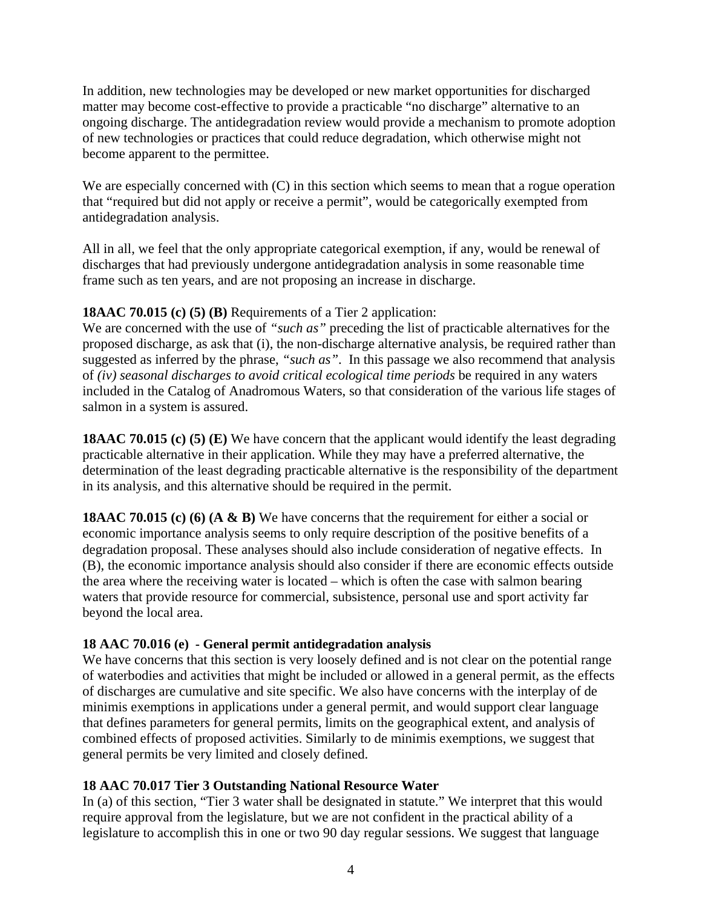In addition, new technologies may be developed or new market opportunities for discharged matter may become cost-effective to provide a practicable "no discharge" alternative to an ongoing discharge. The antidegradation review would provide a mechanism to promote adoption of new technologies or practices that could reduce degradation, which otherwise might not become apparent to the permittee.

We are especially concerned with  $(C)$  in this section which seems to mean that a rogue operation that "required but did not apply or receive a permit", would be categorically exempted from antidegradation analysis.

All in all, we feel that the only appropriate categorical exemption, if any, would be renewal of discharges that had previously undergone antidegradation analysis in some reasonable time frame such as ten years, and are not proposing an increase in discharge.

# **18AAC 70.015 (c) (5) (B)** Requirements of a Tier 2 application:

We are concerned with the use of *"such as"* preceding the list of practicable alternatives for the proposed discharge, as ask that (i), the non-discharge alternative analysis, be required rather than suggested as inferred by the phrase, *"such as"*. In this passage we also recommend that analysis of *(iv) seasonal discharges to avoid critical ecological time periods* be required in any waters included in the Catalog of Anadromous Waters, so that consideration of the various life stages of salmon in a system is assured.

**18AAC 70.015 (c) (5) (E)** We have concern that the applicant would identify the least degrading practicable alternative in their application. While they may have a preferred alternative, the determination of the least degrading practicable alternative is the responsibility of the department in its analysis, and this alternative should be required in the permit.

**18AAC 70.015 (c) (6) (A & B)** We have concerns that the requirement for either a social or economic importance analysis seems to only require description of the positive benefits of a degradation proposal. These analyses should also include consideration of negative effects. In (B), the economic importance analysis should also consider if there are economic effects outside the area where the receiving water is located – which is often the case with salmon bearing waters that provide resource for commercial, subsistence, personal use and sport activity far beyond the local area.

# **18 AAC 70.016 (e) - General permit antidegradation analysis**

We have concerns that this section is very loosely defined and is not clear on the potential range of waterbodies and activities that might be included or allowed in a general permit, as the effects of discharges are cumulative and site specific. We also have concerns with the interplay of de minimis exemptions in applications under a general permit, and would support clear language that defines parameters for general permits, limits on the geographical extent, and analysis of combined effects of proposed activities. Similarly to de minimis exemptions, we suggest that general permits be very limited and closely defined.

# **18 AAC 70.017 Tier 3 Outstanding National Resource Water**

In (a) of this section, "Tier 3 water shall be designated in statute." We interpret that this would require approval from the legislature, but we are not confident in the practical ability of a legislature to accomplish this in one or two 90 day regular sessions. We suggest that language